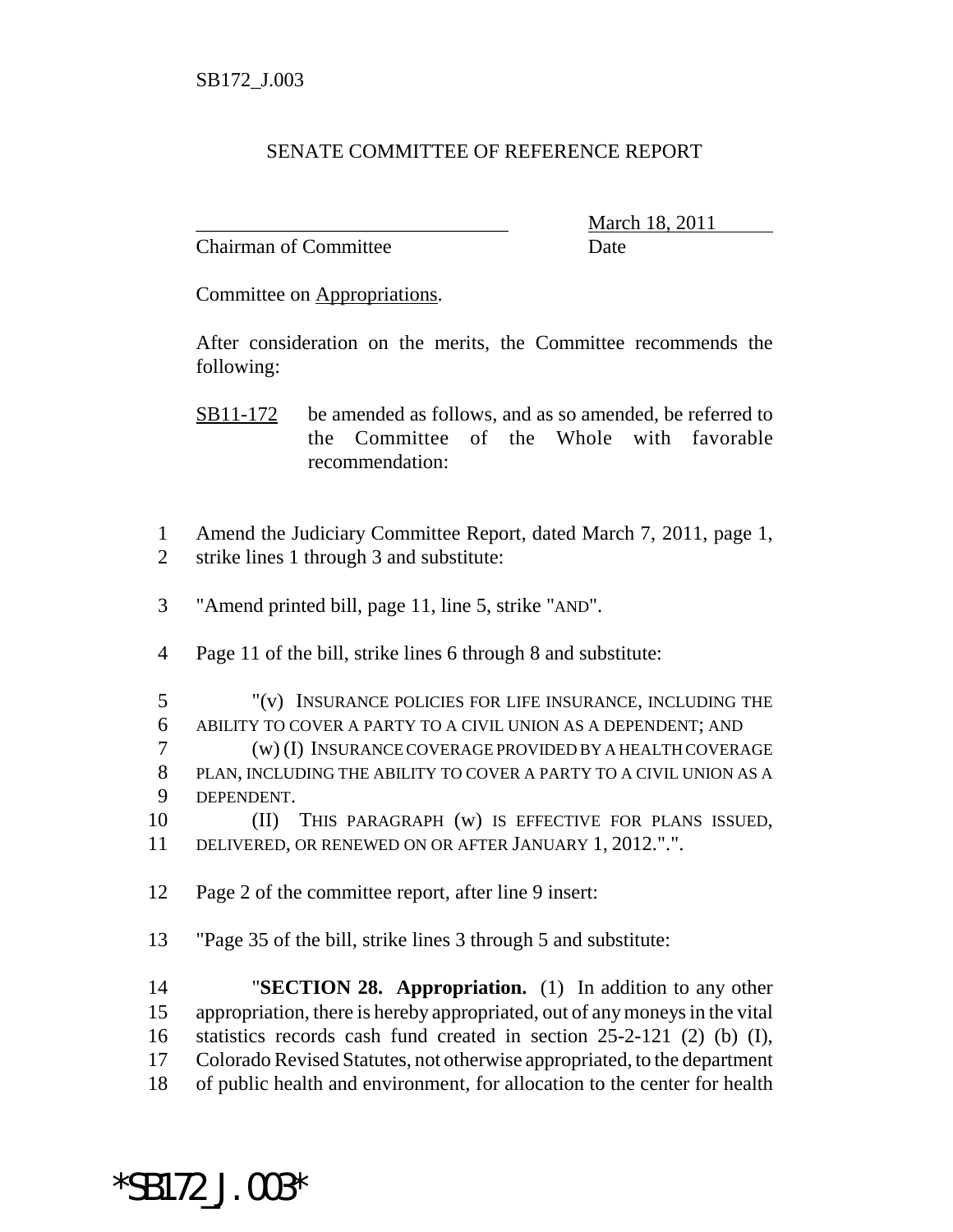## SENATE COMMITTEE OF REFERENCE REPORT

Chairman of Committee **Date** 

\_\_\_\_\_\_\_\_\_\_\_\_\_\_\_\_\_\_\_\_\_\_\_\_\_\_\_\_\_\_\_ March 18, 2011

Committee on Appropriations.

After consideration on the merits, the Committee recommends the following:

- SB11-172 be amended as follows, and as so amended, be referred to the Committee of the Whole with favorable recommendation:
- Amend the Judiciary Committee Report, dated March 7, 2011, page 1, strike lines 1 through 3 and substitute:
- "Amend printed bill, page 11, line 5, strike "AND".
- Page 11 of the bill, strike lines 6 through 8 and substitute:

 "(v) INSURANCE POLICIES FOR LIFE INSURANCE, INCLUDING THE ABILITY TO COVER A PARTY TO A CIVIL UNION AS A DEPENDENT; AND (w) (I) INSURANCE COVERAGE PROVIDED BY A HEALTH COVERAGE PLAN, INCLUDING THE ABILITY TO COVER A PARTY TO A CIVIL UNION AS A DEPENDENT.

 (II) THIS PARAGRAPH (w) IS EFFECTIVE FOR PLANS ISSUED, DELIVERED, OR RENEWED ON OR AFTER JANUARY 1, 2012.".".

Page 2 of the committee report, after line 9 insert:

\*SB172\_J.003\*

"Page 35 of the bill, strike lines 3 through 5 and substitute:

 "**SECTION 28. Appropriation.** (1) In addition to any other appropriation, there is hereby appropriated, out of any moneys in the vital statistics records cash fund created in section 25-2-121 (2) (b) (I), Colorado Revised Statutes, not otherwise appropriated, to the department of public health and environment, for allocation to the center for health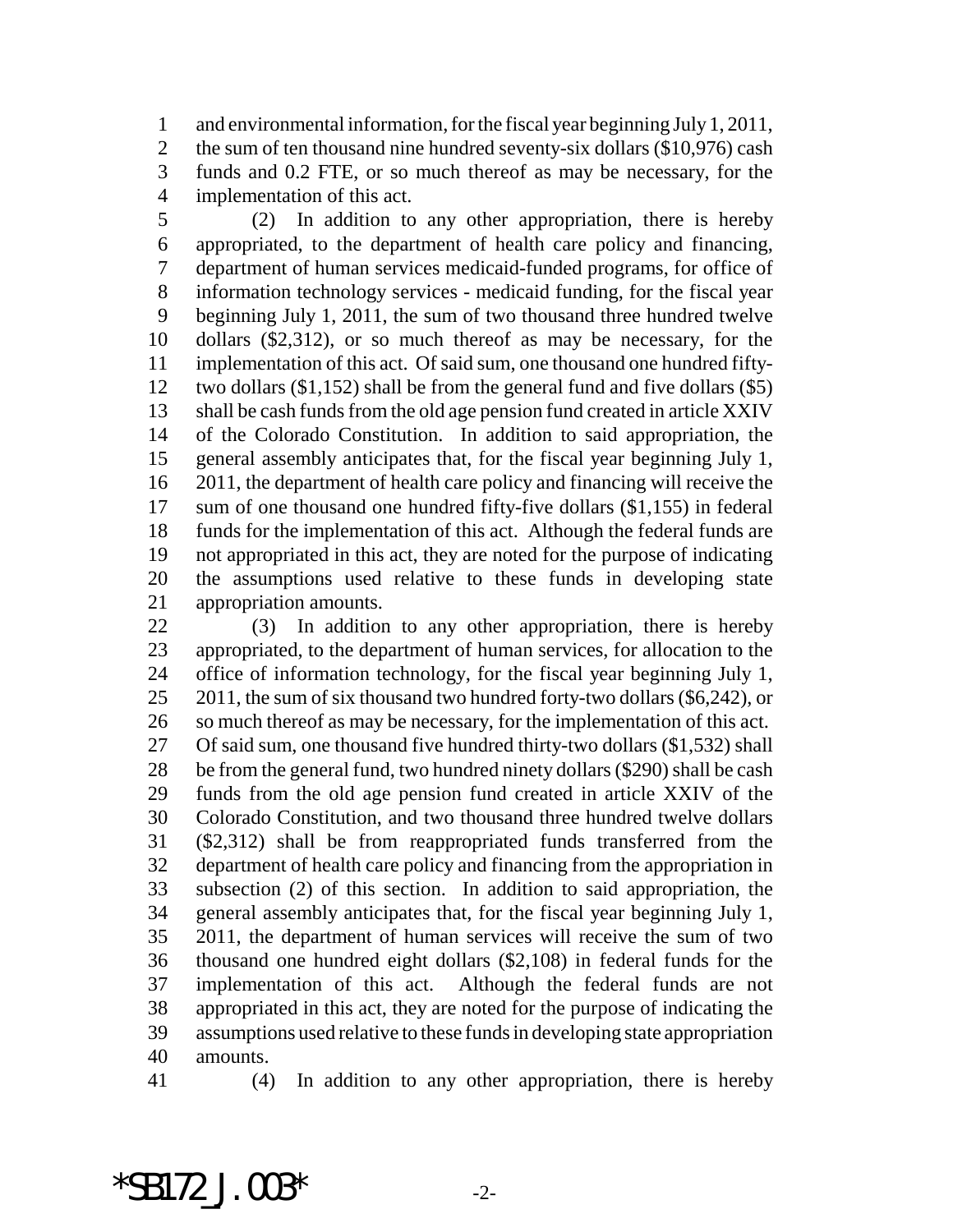and environmental information, for the fiscal year beginning July 1, 2011, 2 the sum of ten thousand nine hundred seventy-six dollars (\$10,976) cash funds and 0.2 FTE, or so much thereof as may be necessary, for the implementation of this act.

 (2) In addition to any other appropriation, there is hereby appropriated, to the department of health care policy and financing, department of human services medicaid-funded programs, for office of information technology services - medicaid funding, for the fiscal year beginning July 1, 2011, the sum of two thousand three hundred twelve dollars (\$2,312), or so much thereof as may be necessary, for the implementation of this act. Of said sum, one thousand one hundred fifty- two dollars (\$1,152) shall be from the general fund and five dollars (\$5) shall be cash funds from the old age pension fund created in article XXIV of the Colorado Constitution. In addition to said appropriation, the general assembly anticipates that, for the fiscal year beginning July 1, 2011, the department of health care policy and financing will receive the sum of one thousand one hundred fifty-five dollars (\$1,155) in federal funds for the implementation of this act. Although the federal funds are not appropriated in this act, they are noted for the purpose of indicating the assumptions used relative to these funds in developing state appropriation amounts.

 (3) In addition to any other appropriation, there is hereby appropriated, to the department of human services, for allocation to the office of information technology, for the fiscal year beginning July 1, 25 2011, the sum of six thousand two hundred forty-two dollars (\$6,242), or so much thereof as may be necessary, for the implementation of this act. Of said sum, one thousand five hundred thirty-two dollars (\$1,532) shall be from the general fund, two hundred ninety dollars (\$290) shall be cash funds from the old age pension fund created in article XXIV of the Colorado Constitution, and two thousand three hundred twelve dollars (\$2,312) shall be from reappropriated funds transferred from the department of health care policy and financing from the appropriation in subsection (2) of this section. In addition to said appropriation, the general assembly anticipates that, for the fiscal year beginning July 1, 2011, the department of human services will receive the sum of two thousand one hundred eight dollars (\$2,108) in federal funds for the implementation of this act. Although the federal funds are not appropriated in this act, they are noted for the purpose of indicating the assumptions used relative to these funds in developing state appropriation amounts.

(4) In addition to any other appropriation, there is hereby